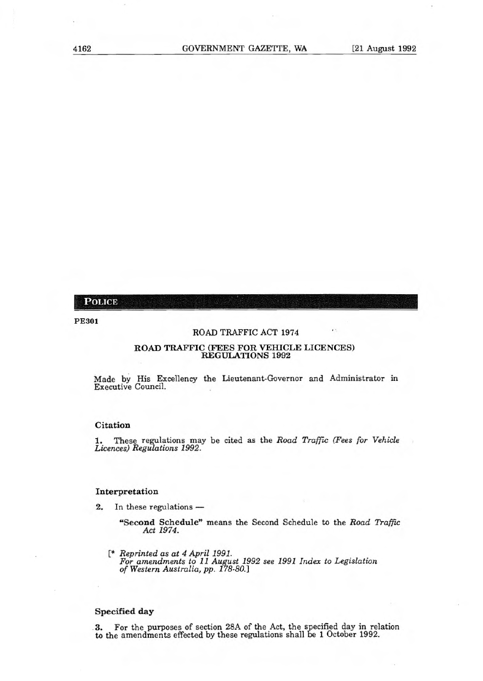# **POLICE**

# **PE301**

## ROAD TRAFFIC ACT **1974**

## **ROAD TRAFFIC (FEES FOR VEHICLE LICENCES) REGULATIONS 1992**

**Made by** His Excellency the Lieutenant-Governor and Administrator in Executive Council.

### **Citation**

1. These regulations may be cited as the Road Traffic (Fees for Vehicle Licences) Regulations 1992.

## **Interpretation**

- 2. In these regulations 
	- **"Second Schedule"** means the Second Schedule to the Road Traffic Act 1974.
	- [\* Reprinted as at 4 April 1991. For amendments to 11 August 1992 see 1991 Index to Legislation of Western Australia, pp. 178-80.]

# **Specified day**

3. For the purposes of section 28A of the Act, the specified day in relation to the amendments effected by these regulations shall be 1 October 1992.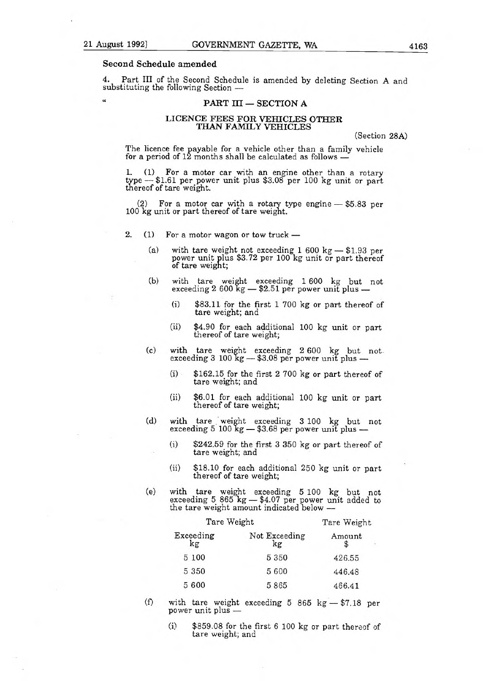# Second Schedule amended

Part III of the Second Schedule is amended by deleting Section A and substituting the following Section —

## PART III - SECTION A

# LICENCE FEES FOR VEHICLES OTHER THAN FAMILY VEHICLES

(Section 28A)

The licence fee payable for a vehicle other than a family vehicle for a period of 12 months shall be calculated as follows -

1. (1) For a motor car with an engine other than a rotary type — \$1.61 per power unit plus \$3.08 per 100 kg unit or part thereof of tare weight.

(2) For a motor car with a rotary type engine — \$5.83 per 100 kg unit or part thereof of tare weight.

- 2. (1) For a motor wagon or tow truck
	- (a) with tare weight not exceeding 1 600 kg \$1.93 per power unit plus \$3.72 per 100 kg unit or part thereof of tare weight;
	- (b) with tare weight exceeding 1 600 kg but not exceeding 2 600 kg — \$2.51 per power unit plus —
		- (i) \$83.11 for the first 1 700 kg or part thereof of tare weight; and
		- (ii) \$4.90 for each additional 100 kg unit or part thereof of tare weight;
	- (c) with tare weight exceeding 2 600 kg but not exceeding 3 100 kg — \$3.08 per power unit plus —
		- (i) \$162.15 for the first 2 700 kg or part thereof of tare weight; and
		- (ii) \$6.01 for each additional 100 kg unit or part thereof of tare weight;
	- (d) with tare weight exceeding 3 100 kg but not exceeding 5  $100 \text{ kg} - 33.68 \text{ per power unit plus} -$ 
		- (i) \$242.59 for the first 3 350 kg or part thereof of tare weight; and
		- (ii) \$18.10 for each additional 250 kg unit or part thereof of tare weight;
	- (e) with tare weight exceeding 5 100 kg but not exceeding 5 865 kg — \$4.07 per power unit added to the tare weight amount indicated below —

| Tare Weight                    |             |             |
|--------------------------------|-------------|-------------|
| Not Exceeding<br>$\mathbf{kg}$ | Amount<br>S |             |
| 5 3 5 0                        | 426.55      |             |
| 5 600                          | 446.48      |             |
| 5865                           | 466.41      |             |
|                                |             | Tare Weight |

- (f) with tare weight exceeding 5 865 kg \$7.18 per power unit plus —
	- (i) \$859.08 for the first 6 100 kg or part thereof of tare weight; and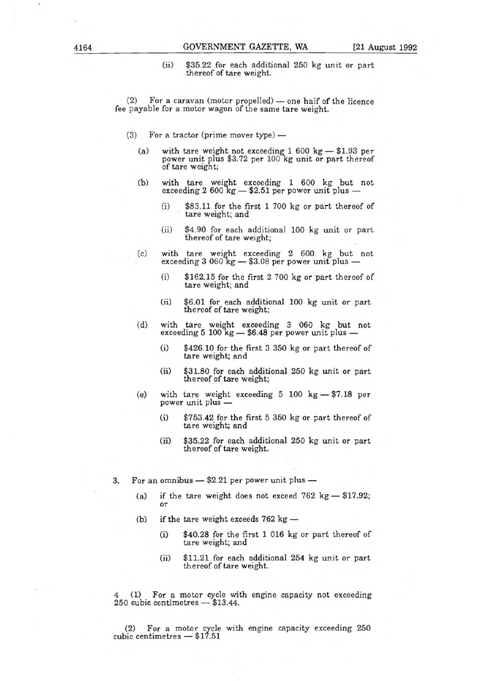(ii) \$35.22 for each additional 250 kg unit or part thereof of tare weight.

(2) For a caravan (motor propelled) — one half of the licence fee payable for a motor wagon of the same tare weight.

- (3) For a tractor (prime mover type)
	- (a) with tare weight not exceeding 1 600 kg \$1.93 per power unit plus \$3.72 per 100 kg unit or part thereof of tare weight;
	- (b) with tare weight exceeding 1 600 kg but not exceeding 2 600 kg — \$2.51 per power unit plus —
		- (i) \$83.11 for the first 1 700 kg or part thereof of tare weight; and
		- (ii) \$4.90 for each additional 100 kg unit or part thereof of tare weight;
	- (c) with tare weight exceeding 2 600 kg but not exceeding 3 060 kg — \$3.08 per power unit plus —
		- (i) \$162.15 for the first 2 700 kg or part thereof of tare weight; and
		- (ii) \$6.01 for each additional 100 kg unit **or** part thereof of tare weight;
	- (d) with tare weight exceeding 3 060 kg but not exceeding 5 100 kg — \$6.48 per power unit plus —
		- (i) \$426.10 for the first 3 350 kg or part thereof of tare weight; and
		- (ii) \$31.80 for each additional 250 kg unit or part thereof of tare weight;
	- (e) with tare weight exceeding 5 100 kg \$7.18 per power unit plus —
		- (i) \$753.42 for the first 5 350 kg or part thereof of tare weight; and
		- (ii) \$35.22 for each additional 250 kg unit or part thereof of tare weight.
- 3. For an omnibus \$2.21 per power unit plus
	- (a) if the tare weight does not exceed  $762 \text{ kg} $17.92$ ; or
	- (b) if the tare weight exceeds 762 kg
		- (i) \$40.28 for the first 1 016 kg or part thereof of tare weight; and
		- (ii) \$11.21 for each additional 254 kg unit or part thereof of tare weight.

4 (1) For a motor cycle with engine capacity not exceeding 250 cubic centimetres — \$13.44.

(2) For a motor cycle with engine capacity exceeding 250 cubic centimetres — \$17.51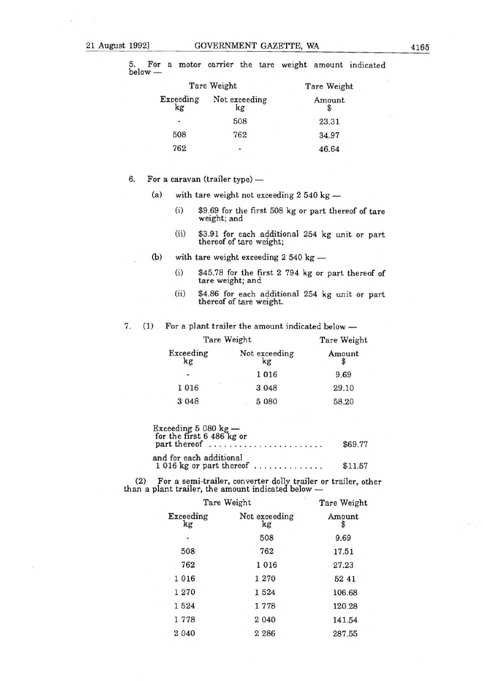5. For a motor carrier the tare weight amount indicated

| below - |                 |                     | The motor carrier and and weight amount man |
|---------|-----------------|---------------------|---------------------------------------------|
|         |                 | Tare Weight         | Tare Weight                                 |
|         | Exceeding<br>kg | Not exceeding<br>kg | Amount                                      |
|         | ٠               | 508                 | 23.31                                       |
|         | 508             | 762                 | 34.97                                       |
|         | 762             |                     | 46.64                                       |

- 6. For a caravan (trailer type)
	- (a) with tare weight not exceeding 2 540 kg
		- (i) \$9.69 for the first 508 kg or part thereof of tare weight; and
		- (ii) \$3.91 for each additional 254 kg unit or part thereof of tare weight;
	- (b) with tare weight exceeding 2 540 kg
		- (i) \$45.78 for the first 2 794 kg or part thereof of tare weight; and
		- (ii) \$4.86 for each additional 254 kg unit or part thereof of tare weight.
- 7. (1) For a plant trailer the amount indicated below —

| Tare Weight                |                     | Tare Weight |  |
|----------------------------|---------------------|-------------|--|
| Exceeding<br>$\mathbf{kg}$ | Not exceeding<br>kg | Amount      |  |
|                            | 1016                | 9.69        |  |
| 1016                       | 3 0 4 8             | 29.10       |  |
| 3 0 4 8                    | 5 0 8 0             | 58.20       |  |

| Exceeding 5 080 $kg -$<br>for the first 6 486 kg or  |         |
|------------------------------------------------------|---------|
| part thereof                                         | \$69.77 |
| and for each additional<br>$1016$ kg or part thereof | \$11.57 |

(2) For a semi-trailer, converter dolly trailer or trailer, other than a plant trailer, the amount indicated below —

| Tare Weight     |                     | Tare Weight |  |
|-----------------|---------------------|-------------|--|
| Exceeding<br>kg | Not exceeding<br>kg | Amount<br>S |  |
|                 | 508                 | 9.69        |  |
| 508             | 762                 | 17.51       |  |
| 762             | 1 0 1 6             | 27.23       |  |
| 1016            | 1 270               | 52 41       |  |
| 1 270           | 1524                | 106.68      |  |
| 1524            | 1778                | 120.28      |  |
| 1778            | 2 0 4 0             | 141.54      |  |
| 2 0 4 0         | 2 2 8 6             | 287.55      |  |
|                 |                     |             |  |